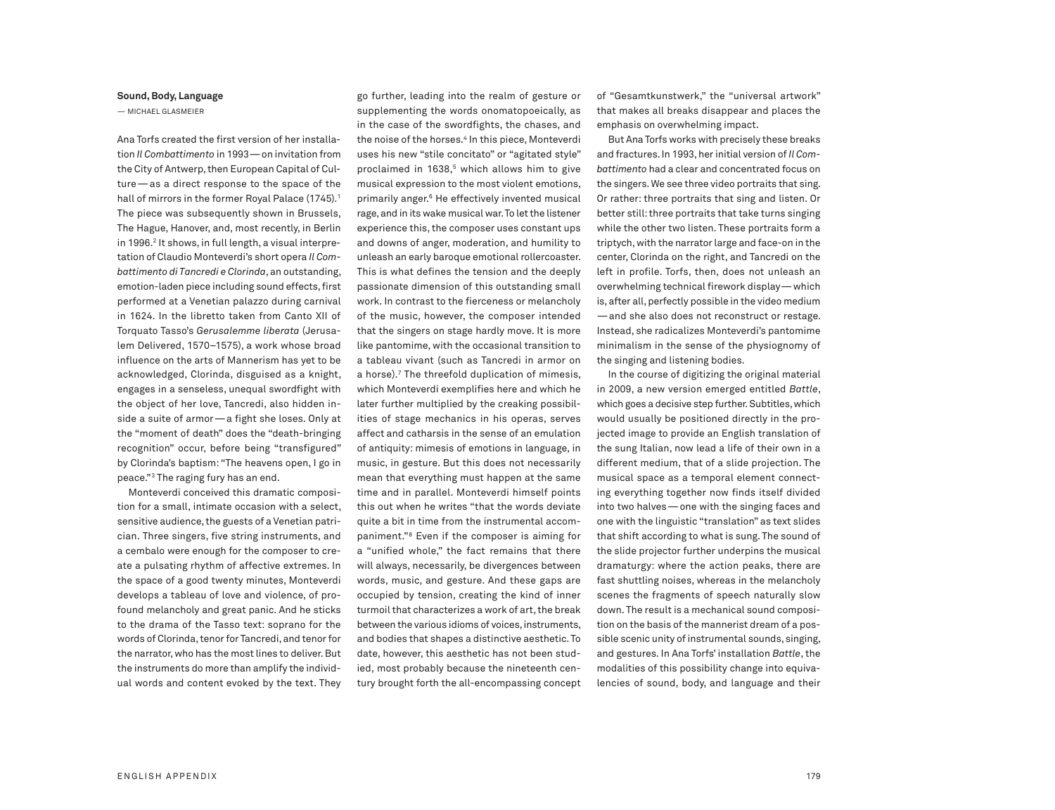## **Sound,Body, Language**

— MICHAEL GLASMEIER

Ana Torfs created the first version of her installation *Il Combattimento* in 1993—on invitation from the City of Antwerp, then European Capital of Culture—as a direct response to the space of the hall of mirrors in the former Royal Palace (1745). 1 The piece was subsequently shown in Brussels, The Hague, Hanover, and, most recently, in Berlin in 1996. <sup>2</sup> It shows, in full length, a visual interpretation of Claudio Monteverdi's short opera *Il Combattimento di Tancredi e Clorinda*, an outstanding, emotion-laden piece including sound effects, first performed at a Venetian palazzo during carnival in 1624. In the libretto taken from Canto XII of Torquato Tasso's *Gerusalemme liberata* (Jerusalem Delivered, 1570–1575), a work whose broad influence on the arts of Mannerism has yet to be acknowledged, Clorinda, disguised as a knight, engages in a senseless, unequal swordfight with the object of her love, Tancredi, also hidden inside a suite of armor—a fight she loses. Only at the "moment of death" does the "death-bringing recognition" occur, before being "transfigured" by Clorinda's baptism: "The heavens open, I go in peace."3 The raging fury has an end.

Monteverdi conceived this dramatic composition for a small, intimate occasion with a select, sensitive audience, the guests of a Venetian patrician. Three singers, five string instruments, and a cembalo were enough for the composer to create a pulsating rhythm of affective extremes. In the space of a good twenty minutes, Monteverdi develops a tableau of love and violence, of profound melancholy and great panic. And he sticks to the drama of the Tasso text: soprano for the words of Clorinda, tenor for Tancredi, and tenor for the narrator, who has the most lines to deliver. But the instruments do more than amplify the individual words and content evoked by the text. They go further, leading into the realm of gesture or supplementing the words onomatopoeically, as in the case of the swordfights, the chases, and the noise of the horses. <sup>4</sup> In this piece, Monteverdi uses his new "stile concitato" or "agitated style" proclaimed in 1638, <sup>5</sup> which allows him to give musical expression to the most violent emotions, primarily anger. <sup>6</sup> He effectively invented musical rage, and in its wake musical war. To let the listener experience this, the composer uses constant ups and downs of anger, moderation, and humility to unleash an early baroque emotional rollercoaster. This is what defines the tension and the deeply passionate dimension of this outstanding small work. In contrast to the fierceness or melancholy of the music, however, the composer intended that the singers on stage hardly move. It is more like pantomime, with the occasional transition to a tableau vivant (such as Tancredi in armor on a horse). <sup>7</sup> The threefold duplication of mimesis, which Monteverdi exemplifies here and which he later further multiplied by the creaking possibilities of stage mechanics in his operas, serves affect and catharsis in the sense of an emulation of antiquity: mimesis of emotions in language, in music, in gesture. But this does not necessarily mean that everything must happen at the same time and in parallel. Monteverdi himself points this out when he writes "that the words deviate quite a bit in time from the instrumental accompaniment."8 Even if the composer is aiming for a "unified whole," the fact remains that there will always, necessarily, be divergences between words, music, and gesture. And these gaps are occupied by tension, creating the kind of inner turmoil that characterizes a work of art, the break between the various idioms of voices, instruments, and bodies that shapes a distinctive aesthetic.To date, however, this aesthetic has not been studied, most probably because the nineteenth century brought forth the all-encompassing concept of "Gesamtkunstwerk," the "universal artwork" that makes all breaks disappear and places the emphasis on overwhelming impact.

But Ana Torfs works with precisely these breaks and fractures. In 1993, her initial version of *Il Combattimento* had a clear and concentrated focus on the singers.We see three video portraits that sing. Or rather: three portraits that sing and listen. Or better still: three portraits that take turns singing while the other two listen. These portraits form a triptych, with the narrator large and face-on in the center, Clorinda on the right, and Tancredi on the left in profile. Torfs, then, does not unleash an overwhelming technical firework display—which is, after all, perfectly possible in the video medium —and she also does not reconstruct or restage. Instead, she radicalizes Monteverdi's pantomime minimalism in the sense of the physiognomy of the singing and listening bodies.

In the course of digitizing the original material in 2009, a new version emerged entitled *Battle*, which goes a decisive step further. Subtitles, which would usually be positioned directly in the projected image to provide an English translation of the sung Italian, now lead a life of their own in a different medium, that of a slide projection. The musical space as a temporal element connecting everything together now finds itself divided into two halves—one with the singing faces and one with the linguistic "translation" as text slides that shift according to what is sung. The sound of the slide projector further underpins the musical dramaturgy: where the action peaks, there are fast shuttling noises, whereas in the melancholy scenes the fragments of speech naturally slow down. The result is a mechanical sound composition on the basis of the mannerist dream of a possible scenic unity of instrumental sounds, singing, and gestures. In Ana Torfs' installation *Battle*, the modalities of this possibility change into equivalencies of sound, body, and language and their